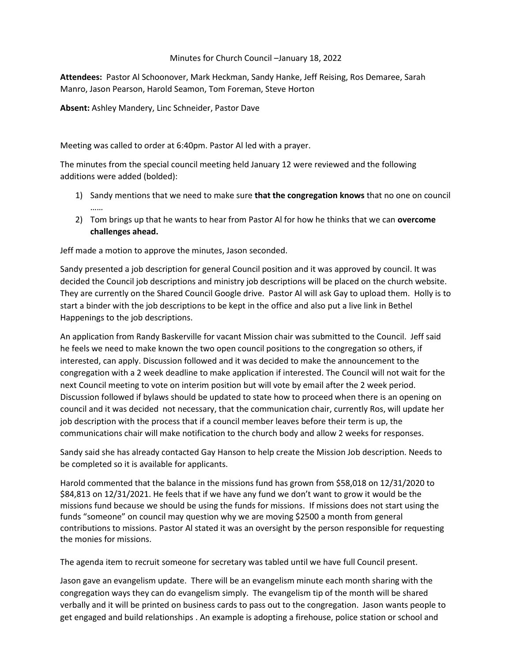## Minutes for Church Council –January 18, 2022

**Attendees:** Pastor Al Schoonover, Mark Heckman, Sandy Hanke, Jeff Reising, Ros Demaree, Sarah Manro, Jason Pearson, Harold Seamon, Tom Foreman, Steve Horton

**Absent:** Ashley Mandery, Linc Schneider, Pastor Dave

Meeting was called to order at 6:40pm. Pastor Al led with a prayer.

The minutes from the special council meeting held January 12 were reviewed and the following additions were added (bolded):

- 1) Sandy mentions that we need to make sure **that the congregation knows** that no one on council ……
- 2) Tom brings up that he wants to hear from Pastor Al for how he thinks that we can **overcome challenges ahead.**

Jeff made a motion to approve the minutes, Jason seconded.

Sandy presented a job description for general Council position and it was approved by council. It was decided the Council job descriptions and ministry job descriptions will be placed on the church website. They are currently on the Shared Council Google drive. Pastor Al will ask Gay to upload them. Holly is to start a binder with the job descriptions to be kept in the office and also put a live link in Bethel Happenings to the job descriptions.

An application from Randy Baskerville for vacant Mission chair was submitted to the Council. Jeff said he feels we need to make known the two open council positions to the congregation so others, if interested, can apply. Discussion followed and it was decided to make the announcement to the congregation with a 2 week deadline to make application if interested. The Council will not wait for the next Council meeting to vote on interim position but will vote by email after the 2 week period. Discussion followed if bylaws should be updated to state how to proceed when there is an opening on council and it was decided not necessary, that the communication chair, currently Ros, will update her job description with the process that if a council member leaves before their term is up, the communications chair will make notification to the church body and allow 2 weeks for responses.

Sandy said she has already contacted Gay Hanson to help create the Mission Job description. Needs to be completed so it is available for applicants.

Harold commented that the balance in the missions fund has grown from \$58,018 on 12/31/2020 to \$84,813 on 12/31/2021. He feels that if we have any fund we don't want to grow it would be the missions fund because we should be using the funds for missions. If missions does not start using the funds "someone" on council may question why we are moving \$2500 a month from general contributions to missions. Pastor Al stated it was an oversight by the person responsible for requesting the monies for missions.

The agenda item to recruit someone for secretary was tabled until we have full Council present.

Jason gave an evangelism update. There will be an evangelism minute each month sharing with the congregation ways they can do evangelism simply. The evangelism tip of the month will be shared verbally and it will be printed on business cards to pass out to the congregation. Jason wants people to get engaged and build relationships . An example is adopting a firehouse, police station or school and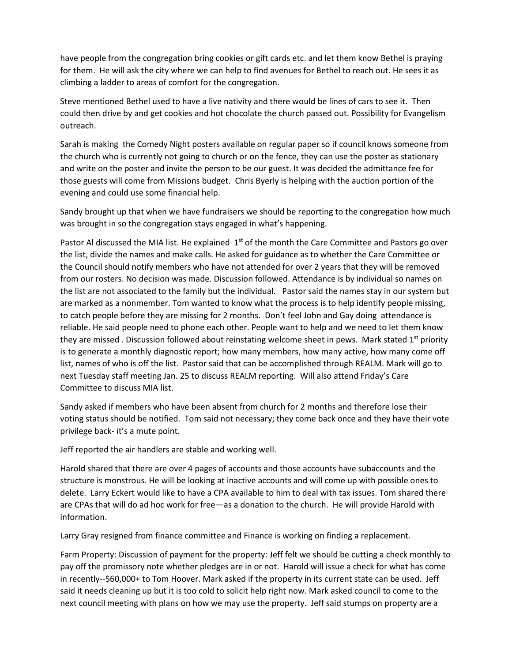have people from the congregation bring cookies or gift cards etc. and let them know Bethel is praying for them. He will ask the city where we can help to find avenues for Bethel to reach out. He sees it as climbing a ladder to areas of comfort for the congregation.

Steve mentioned Bethel used to have a live nativity and there would be lines of cars to see it. Then could then drive by and get cookies and hot chocolate the church passed out. Possibility for Evangelism outreach.

Sarah is making the Comedy Night posters available on regular paper so if council knows someone from the church who is currently not going to church or on the fence, they can use the poster as stationary and write on the poster and invite the person to be our guest. It was decided the admittance fee for those guests will come from Missions budget. Chris Byerly is helping with the auction portion of the evening and could use some financial help.

Sandy brought up that when we have fundraisers we should be reporting to the congregation how much was brought in so the congregation stays engaged in what's happening.

Pastor Al discussed the MIA list. He explained 1<sup>st</sup> of the month the Care Committee and Pastors go over the list, divide the names and make calls. He asked for guidance as to whether the Care Committee or the Council should notify members who have not attended for over 2 years that they will be removed from our rosters. No decision was made. Discussion followed. Attendance is by individual so names on the list are not associated to the family but the individual. Pastor said the names stay in our system but are marked as a nonmember. Tom wanted to know what the process is to help identify people missing, to catch people before they are missing for 2 months. Don't feel John and Gay doing attendance is reliable. He said people need to phone each other. People want to help and we need to let them know they are missed . Discussion followed about reinstating welcome sheet in pews. Mark stated 1<sup>st</sup> priority is to generate a monthly diagnostic report; how many members, how many active, how many come off list, names of who is off the list. Pastor said that can be accomplished through REALM. Mark will go to next Tuesday staff meeting Jan. 25 to discuss REALM reporting. Will also attend Friday's Care Committee to discuss MIA list.

Sandy asked if members who have been absent from church for 2 months and therefore lose their voting status should be notified. Tom said not necessary; they come back once and they have their vote privilege back- it's a mute point.

Jeff reported the air handlers are stable and working well.

Harold shared that there are over 4 pages of accounts and those accounts have subaccounts and the structure is monstrous. He will be looking at inactive accounts and will come up with possible ones to delete. Larry Eckert would like to have a CPA available to him to deal with tax issues. Tom shared there are CPAs that will do ad hoc work for free—as a donation to the church. He will provide Harold with information.

Larry Gray resigned from finance committee and Finance is working on finding a replacement.

Farm Property: Discussion of payment for the property: Jeff felt we should be cutting a check monthly to pay off the promissory note whether pledges are in or not. Harold will issue a check for what has come in recently--\$60,000+ to Tom Hoover. Mark asked if the property in its current state can be used. Jeff said it needs cleaning up but it is too cold to solicit help right now. Mark asked council to come to the next council meeting with plans on how we may use the property. Jeff said stumps on property are a